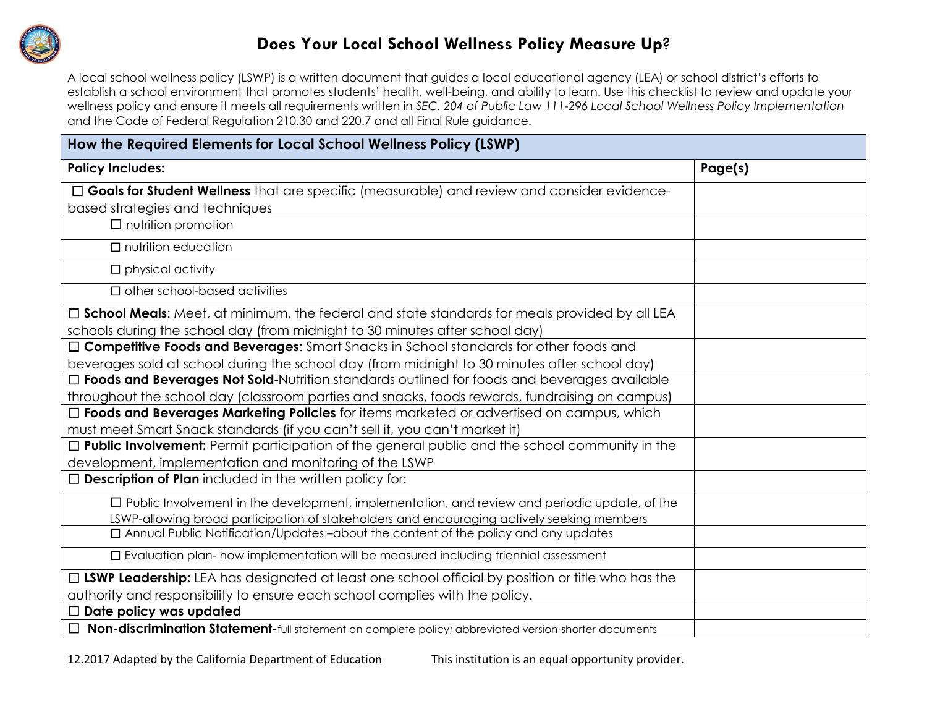

## **Does Your Local School Wellness Policy Measure Up**?

A local school wellness policy (LSWP) is a written document that guides a local educational agency (LEA) or school district's efforts to establish a school environment that promotes students' health, well-being, and ability to learn. Use this checklist to review and update your wellness policy and ensure it meets all requirements written in *SEC. 204 of Public Law 111-296 Local School Wellness Policy Implementation*  and the Code of Federal Regulation 210.30 and 220.7 and all Final Rule guidance.

| How the Required Elements for Local School Wellness Policy (LSWP)                                       |         |  |  |
|---------------------------------------------------------------------------------------------------------|---------|--|--|
| <b>Policy Includes:</b>                                                                                 | Page(s) |  |  |
| $\Box$ Goals for Student Wellness that are specific (measurable) and review and consider evidence-      |         |  |  |
| based strategies and techniques                                                                         |         |  |  |
| $\Box$ nutrition promotion                                                                              |         |  |  |
| $\Box$ nutrition education                                                                              |         |  |  |
| $\Box$ physical activity                                                                                |         |  |  |
| $\Box$ other school-based activities                                                                    |         |  |  |
| $\Box$ School Meals: Meet, at minimum, the federal and state standards for meals provided by all LEA    |         |  |  |
| schools during the school day (from midnight to 30 minutes after school day)                            |         |  |  |
| □ Competitive Foods and Beverages: Smart Snacks in School standards for other foods and                 |         |  |  |
| beverages sold at school during the school day (from midnight to 30 minutes after school day)           |         |  |  |
| □ Foods and Beverages Not Sold-Nutrition standards outlined for foods and beverages available           |         |  |  |
| throughout the school day (classroom parties and snacks, foods rewards, fundraising on campus)          |         |  |  |
| □ Foods and Beverages Marketing Policies for items marketed or advertised on campus, which              |         |  |  |
| must meet Smart Snack standards (if you can't sell it, you can't market it)                             |         |  |  |
| $\Box$ Public Involvement: Permit participation of the general public and the school community in the   |         |  |  |
| development, implementation and monitoring of the LSWP                                                  |         |  |  |
| $\Box$ Description of Plan included in the written policy for:                                          |         |  |  |
| $\Box$ Public Involvement in the development, implementation, and review and periodic update, of the    |         |  |  |
| LSWP-allowing broad participation of stakeholders and encouraging actively seeking members              |         |  |  |
| □ Annual Public Notification/Updates-about the content of the policy and any updates                    |         |  |  |
| $\square$ Evaluation plan- how implementation will be measured including triennial assessment           |         |  |  |
| □ LSWP Leadership: LEA has designated at least one school official by position or title who has the     |         |  |  |
| authority and responsibility to ensure each school complies with the policy.                            |         |  |  |
| $\Box$ Date policy was updated                                                                          |         |  |  |
| □ Non-discrimination Statement-full statement on complete policy; abbreviated version-shorter documents |         |  |  |